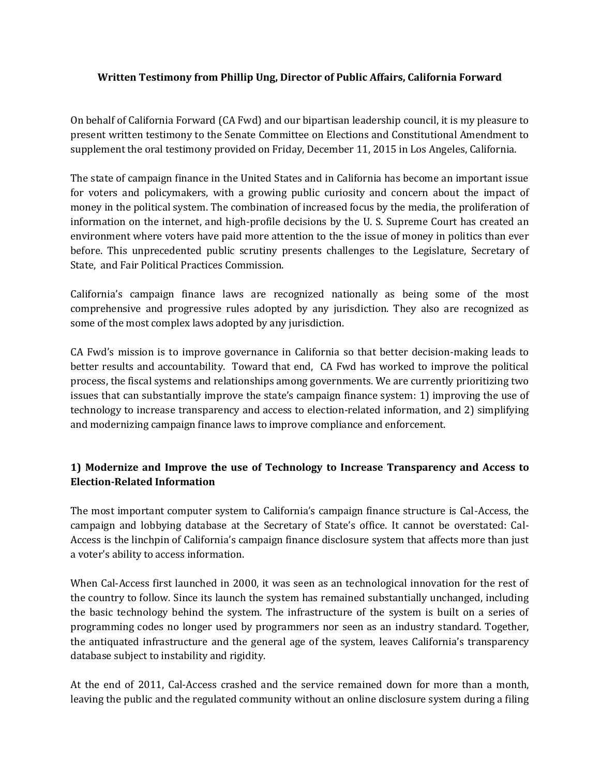## **Written Testimony from Phillip Ung, Director of Public Affairs, California Forward**

On behalf of California Forward (CA Fwd) and our bipartisan leadership council, it is my pleasure to present written testimony to the Senate Committee on Elections and Constitutional Amendment to supplement the oral testimony provided on Friday, December 11, 2015 in Los Angeles, California.

The state of campaign finance in the United States and in California has become an important issue for voters and policymakers, with a growing public curiosity and concern about the impact of money in the political system. The combination of increased focus by the media, the proliferation of information on the internet, and high-profile decisions by the U. S. Supreme Court has created an environment where voters have paid more attention to the the issue of money in politics than ever before. This unprecedented public scrutiny presents challenges to the Legislature, Secretary of State, and Fair Political Practices Commission.

California's campaign finance laws are recognized nationally as being some of the most comprehensive and progressive rules adopted by any jurisdiction. They also are recognized as some of the most complex laws adopted by any jurisdiction.

CA Fwd's mission is to improve governance in California so that better decision-making leads to better results and accountability. Toward that end, CA Fwd has worked to improve the political process, the fiscal systems and relationships among governments. We are currently prioritizing two issues that can substantially improve the state's campaign finance system: 1) improving the use of technology to increase transparency and access to election-related information, and 2) simplifying and modernizing campaign finance laws to improve compliance and enforcement.

## **1) Modernize and Improve the use of Technology to Increase Transparency and Access to Election-Related Information**

The most important computer system to California's campaign finance structure is Cal-Access, the campaign and lobbying database at the Secretary of State's office. It cannot be overstated: Cal-Access is the linchpin of California's campaign finance disclosure system that affects more than just a voter's ability to access information.

When Cal-Access first launched in 2000, it was seen as an technological innovation for the rest of the country to follow. Since its launch the system has remained substantially unchanged, including the basic technology behind the system. The infrastructure of the system is built on a series of programming codes no longer used by programmers nor seen as an industry standard. Together, the antiquated infrastructure and the general age of the system, leaves California's transparency database subject to instability and rigidity.

At the end of 2011, Cal-Access crashed and the service remained down for more than a month, leaving the public and the regulated community without an online disclosure system during a filing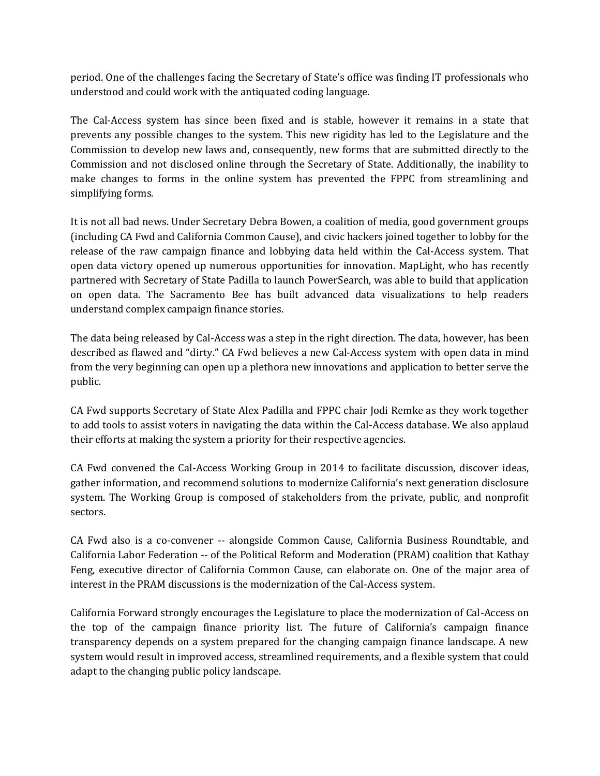period. One of the challenges facing the Secretary of State's office was finding IT professionals who understood and could work with the antiquated coding language.

The Cal-Access system has since been fixed and is stable, however it remains in a state that prevents any possible changes to the system. This new rigidity has led to the Legislature and the Commission to develop new laws and, consequently, new forms that are submitted directly to the Commission and not disclosed online through the Secretary of State. Additionally, the inability to make changes to forms in the online system has prevented the FPPC from streamlining and simplifying forms.

It is not all bad news. Under Secretary Debra Bowen, a coalition of media, good government groups (including CA Fwd and California Common Cause), and civic hackers joined together to lobby for the release of the raw campaign finance and lobbying data held within the Cal-Access system. That open data victory opened up numerous opportunities for innovation. MapLight, who has recently partnered with Secretary of State Padilla to launch PowerSearch, was able to build that application on open data. The Sacramento Bee has built advanced data visualizations to help readers understand complex campaign finance stories.

The data being released by Cal-Access was a step in the right direction. The data, however, has been described as flawed and "dirty." CA Fwd believes a new Cal-Access system with open data in mind from the very beginning can open up a plethora new innovations and application to better serve the public.

CA Fwd supports Secretary of State Alex Padilla and FPPC chair Jodi Remke as they work together to add tools to assist voters in navigating the data within the Cal-Access database. We also applaud their efforts at making the system a priority for their respective agencies.

CA Fwd convened the Cal-Access Working Group in 2014 to facilitate discussion, discover ideas, gather information, and recommend solutions to modernize California's next generation disclosure system. The Working Group is composed of stakeholders from the private, public, and nonprofit sectors.

CA Fwd also is a co-convener -- alongside Common Cause, California Business Roundtable, and California Labor Federation -- of the Political Reform and Moderation (PRAM) coalition that Kathay Feng, executive director of California Common Cause, can elaborate on. One of the major area of interest in the PRAM discussions is the modernization of the Cal-Access system.

California Forward strongly encourages the Legislature to place the modernization of Cal-Access on the top of the campaign finance priority list. The future of California's campaign finance transparency depends on a system prepared for the changing campaign finance landscape. A new system would result in improved access, streamlined requirements, and a flexible system that could adapt to the changing public policy landscape.